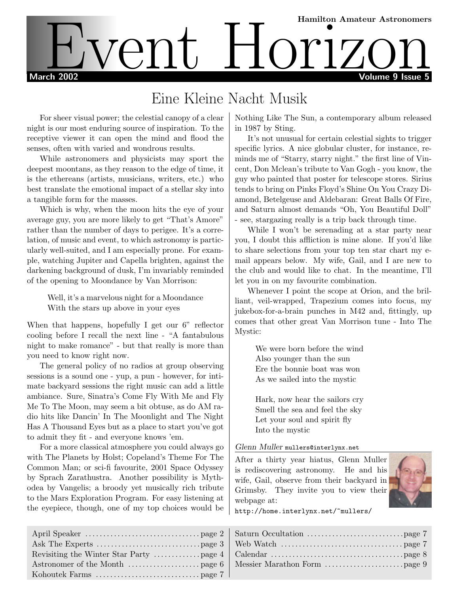# Hamilton Amateur Astronomers March 2002 Volume 9 Issue 5 Event Horizon Stronomers

## Eine Kleine Nacht Musik

For sheer visual power; the celestial canopy of a clear night is our most enduring source of inspiration. To the receptive viewer it can open the mind and flood the senses, often with varied and wondrous results.

While astronomers and physicists may sport the deepest moontans, as they reason to the edge of time, it is the ethereans (artists, musicians, writers, etc.) who best translate the emotional impact of a stellar sky into a tangible form for the masses.

Which is why, when the moon hits the eye of your average guy, you are more likely to get "That's Amore" rather than the number of days to perigee. It's a correlation, of music and event, to which astronomy is particularly well-suited, and I am especially prone. For example, watching Jupiter and Capella brighten, against the darkening background of dusk, I'm invariably reminded of the opening to Moondance by Van Morrison:

> Well, it's a marvelous night for a Moondance With the stars up above in your eyes

When that happens, hopefully I get our 6" reflector cooling before I recall the next line - "A fantabulous night to make romance" - but that really is more than you need to know right now.

The general policy of no radios at group observing sessions is a sound one - yup, a pun - however, for intimate backyard sessions the right music can add a little ambiance. Sure, Sinatra's Come Fly With Me and Fly Me To The Moon, may seem a bit obtuse, as do AM radio hits like Dancin' In The Moonlight and The Night Has A Thousand Eyes but as a place to start you've got to admit they fit - and everyone knows 'em.

For a more classical atmosphere you could always go with The Planets by Holst; Copeland's Theme For The Common Man; or sci-fi favourite, 2001 Space Odyssey by Sprach Zarathustra. Another possibility is Mythodea by Vangelis; a broody yet musically rich tribute to the Mars Exploration Program. For easy listening at the eyepiece, though, one of my top choices would be Nothing Like The Sun, a contemporary album released in 1987 by Sting.

It's not unusual for certain celestial sights to trigger specific lyrics. A nice globular cluster, for instance, reminds me of "Starry, starry night." the first line of Vincent, Don Mclean's tribute to Van Gogh - you know, the guy who painted that poster for telescope stores. Sirius tends to bring on Pinks Floyd's Shine On You Crazy Diamond, Betelgeuse and Aldebaran: Great Balls Of Fire, and Saturn almost demands "Oh, You Beautiful Doll" - see, stargazing really is a trip back through time.

While I won't be serenading at a star party near you, I doubt this affliction is mine alone. If you'd like to share selections from your top ten star chart my email appears below. My wife, Gail, and I are new to the club and would like to chat. In the meantime, I'll let you in on my favourite combination.

Whenever I point the scope at Orion, and the brilliant, veil-wrapped, Trapezium comes into focus, my jukebox-for-a-brain punches in M42 and, fittingly, up comes that other great Van Morrison tune - Into The Mystic:

> We were born before the wind Also younger than the sun Ere the bonnie boat was won As we sailed into the mystic

> Hark, now hear the sailors cry Smell the sea and feel the sky Let your soul and spirit fly Into the mystic

#### Glenn Muller mullers@interlynx.net

After a thirty year hiatus, Glenn Muller is rediscovering astronomy. He and his wife, Gail, observe from their backyard in Grimsby. They invite you to view their webpage at:



http://home.interlynx.net/~mullers/

| Ask The Experts ………………………………page 3   Web Watch ……………………………………page 7 |  |
|---------------------------------------------------------------------|--|
|                                                                     |  |
|                                                                     |  |
|                                                                     |  |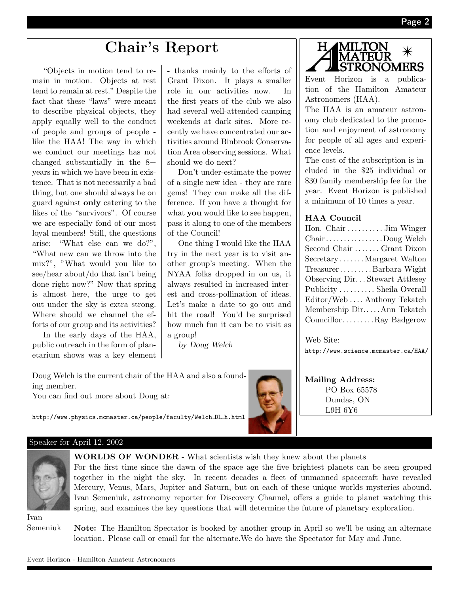## Chair's Report

"Objects in motion tend to remain in motion. Objects at rest tend to remain at rest." Despite the fact that these "laws" were meant to describe physical objects, they apply equally well to the conduct of people and groups of people like the HAA! The way in which we conduct our meetings has not changed substantially in the 8+ years in which we have been in existence. That is not necessarily a bad thing, but one should always be on guard against only catering to the likes of the "survivors". Of course we are especially fond of our most loyal members! Still, the questions arise: "What else can we do?", "What new can we throw into the mix?", "What would you like to see/hear about/do that isn't being done right now?" Now that spring is almost here, the urge to get out under the sky is extra strong. Where should we channel the efforts of our group and its activities?

In the early days of the HAA, public outreach in the form of planetarium shows was a key element - thanks mainly to the efforts of Grant Dixon. It plays a smaller role in our activities now. In the first years of the club we also had several well-attended camping weekends at dark sites. More recently we have concentrated our activities around Binbrook Conservation Area observing sessions. What should we do next?

Don't under-estimate the power of a single new idea - they are rare gems! They can make all the difference. If you have a thought for what **you** would like to see happen, pass it along to one of the members of the Council!

One thing I would like the HAA try in the next year is to visit another group's meeting. When the NYAA folks dropped in on us, it always resulted in increased interest and cross-pollination of ideas. Let's make a date to go out and hit the road! You'd be surprised how much fun it can be to visit as a group!

by Doug Welch



Event Horizon is a publication of the Hamilton Amateur Astronomers (HAA).

The HAA is an amateur astronomy club dedicated to the promotion and enjoyment of astronomy for people of all ages and experience levels.

The cost of the subscription is included in the \$25 individual or \$30 family membership fee for the year. Event Horizon is published a minimum of 10 times a year.

## HAA Council

| Hon. Chair  Jim Winger                                         |
|----------------------------------------------------------------|
| $Chain \ldots \ldots \ldots \ldots \ldots \mathrm{Doug}$ Welch |
| Second Chair  Grant Dixon                                      |
| SecretaryMargaret Walton                                       |
| TreasurerBarbara Wight                                         |
| Observing Dir Stewart Attlesey                                 |
| Publicity  Sheila Overall                                      |
| Editor/WebAnthony Tekatch                                      |
| Membership DirAnn Tekatch                                      |
| CouncillorRay Badgerow                                         |

Web Site:

Mailing Address: PO Box 65578 Dundas, ON L9H 6Y6

http://www.science.mcmaster.ca/HAA/

Doug Welch is the current chair of the HAA and also a founding member.

You can find out more about Doug at:



http://www.physics.mcmaster.ca/people/faculty/Welch DL h.html

### Speaker for April 12, 2002



WORLDS OF WONDER - What scientists wish they knew about the planets

For the first time since the dawn of the space age the five brightest planets can be seen grouped together in the night the sky. In recent decades a fleet of unmanned spacecraft have revealed Mercury, Venus, Mars, Jupiter and Saturn, but on each of these unique worlds mysteries abound. Ivan Semeniuk, astronomy reporter for Discovery Channel, offers a guide to planet watching this spring, and examines the key questions that will determine the future of planetary exploration.

Ivan Semeniuk

Note: The Hamilton Spectator is booked by another group in April so we'll be using an alternate location. Please call or email for the alternate.We do have the Spectator for May and June.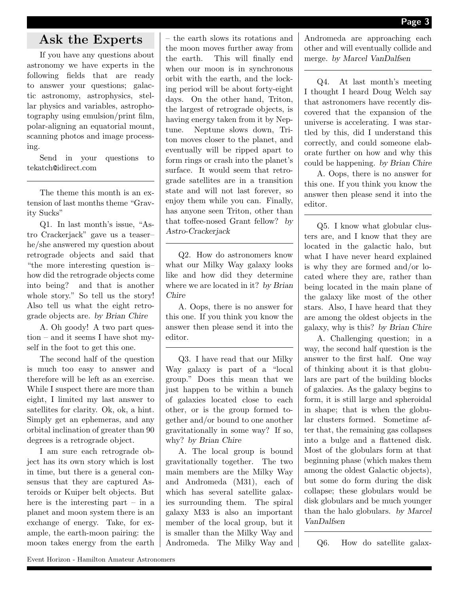## Ask the Experts

If you have any questions about astronomy we have experts in the following fields that are ready to answer your questions; galactic astronomy, astrophysics, stellar physics and variables, astrophotography using emulsion/print film, polar-aligning an equatorial mount, scanning photos and image processing.

Send in your questions to tekatch@idirect.com

The theme this month is an extension of last months theme "Gravity Sucks"

Q1. In last month's issue, "Astro Crackerjack" gave us a teaser– he/she answered my question about retrograde objects and said that "the more interesting question is– how did the retrograde objects come into being? and that is another whole story." So tell us the story! Also tell us what the eight retrograde objects are. by Brian Chire

A. Oh goody! A two part question – and it seems I have shot myself in the foot to get this one.

The second half of the question is much too easy to answer and therefore will be left as an exercise. While I suspect there are more than eight, I limited my last answer to satellites for clarity. Ok, ok, a hint. Simply get an ephemeras, and any orbital inclination of greater than 90 degrees is a retrograde object.

I am sure each retrograde object has its own story which is lost in time, but there is a general consensus that they are captured Asteroids or Kuiper belt objects. But here is the interesting part – in a planet and moon system there is an exchange of energy. Take, for example, the earth-moon pairing: the moon takes energy from the earth

– the earth slows its rotations and the moon moves further away from the earth. This will finally end when our moon is in synchronous orbit with the earth, and the locking period will be about forty-eight days. On the other hand, Triton, the largest of retrograde objects, is having energy taken from it by Neptune. Neptune slows down, Triton moves closer to the planet, and eventually will be ripped apart to form rings or crash into the planet's surface. It would seem that retrograde satellites are in a transition state and will not last forever, so enjoy them while you can. Finally, has anyone seen Triton, other than that toffee-nosed Grant fellow? by Astro-Crackerjack

Q2. How do astronomers know what our Milky Way galaxy looks like and how did they determine where we are located in it? by Brian Chire

A. Oops, there is no answer for this one. If you think you know the answer then please send it into the editor.

Q3. I have read that our Milky Way galaxy is part of a "local group." Does this mean that we just happen to be within a bunch of galaxies located close to each other, or is the group formed together and/or bound to one another gravitationally in some way? If so, why? by Brian Chire

A. The local group is bound gravitationally together. The two main members are the Milky Way and Andromeda (M31), each of which has several satellite galaxies surrounding them. The spiral galaxy M33 is also an important member of the local group, but it is smaller than the Milky Way and Andromeda. The Milky Way and Andromeda are approaching each other and will eventually collide and merge. by Marcel VanDalfsen

Q4. At last month's meeting I thought I heard Doug Welch say that astronomers have recently discovered that the expansion of the universe is accelerating. I was startled by this, did I understand this correctly, and could someone elaborate further on how and why this could be happening. by Brian Chire

A. Oops, there is no answer for this one. If you think you know the answer then please send it into the editor.

Q5. I know what globular clusters are, and I know that they are located in the galactic halo, but what I have never heard explained is why they are formed and/or located where they are, rather than being located in the main plane of the galaxy like most of the other stars. Also, I have heard that they are among the oldest objects in the galaxy, why is this? by Brian Chire

A. Challenging question; in a way, the second half question is the answer to the first half. One way of thinking about it is that globulars are part of the building blocks of galaxies. As the galaxy begins to form, it is still large and spheroidal in shape; that is when the globular clusters formed. Sometime after that, the remaining gas collapses into a bulge and a flattened disk. Most of the globulars form at that beginning phase (which makes them among the oldest Galactic objects), but some do form during the disk collapse; these globulars would be disk globulars and be much younger than the halo globulars. by Marcel VanDalfsen

Q6. How do satellite galax-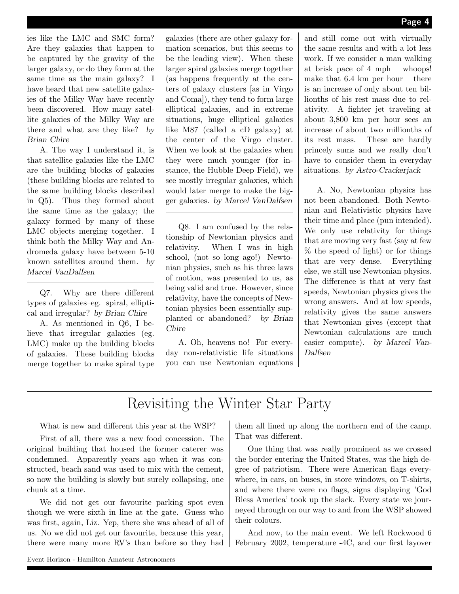ies like the LMC and SMC form? Are they galaxies that happen to be captured by the gravity of the larger galaxy, or do they form at the same time as the main galaxy? I have heard that new satellite galaxies of the Milky Way have recently been discovered. How many satellite galaxies of the Milky Way are there and what are they like? by Brian Chire

A. The way I understand it, is that satellite galaxies like the LMC are the building blocks of galaxies (these building blocks are related to the same building blocks described in Q5). Thus they formed about the same time as the galaxy; the galaxy formed by many of these LMC objects merging together. I think both the Milky Way and Andromeda galaxy have between 5-10 known satellites around them. by Marcel VanDalfsen

Q7. Why are there different types of galaxies–eg. spiral, elliptical and irregular? by Brian Chire

A. As mentioned in Q6, I believe that irregular galaxies (eg. LMC) make up the building blocks of galaxies. These building blocks merge together to make spiral type galaxies (there are other galaxy formation scenarios, but this seems to be the leading view). When these larger spiral galaxies merge together (as happens frequently at the centers of galaxy clusters [as in Virgo and Coma]), they tend to form large elliptical galaxies, and in extreme situations, huge elliptical galaxies like M87 (called a cD galaxy) at the center of the Virgo cluster. When we look at the galaxies when they were much younger (for instance, the Hubble Deep Field), we see mostly irregular galaxies, which would later merge to make the bigger galaxies. by Marcel VanDalfsen

Q8. I am confused by the relationship of Newtonian physics and relativity. When I was in high school, (not so long ago!) Newtonian physics, such as his three laws of motion, was presented to us, as being valid and true. However, since relativity, have the concepts of Newtonian physics been essentially supplanted or abandoned? by Brian Chire

A. Oh, heavens no! For everyday non-relativistic life situations you can use Newtonian equations and still come out with virtually the same results and with a lot less work. If we consider a man walking at brisk pace of 4 mph – whoops! make that  $6.4 \text{ km per hour} - \text{there}$ is an increase of only about ten billionths of his rest mass due to relativity. A fighter jet traveling at about 3,800 km per hour sees an increase of about two millionths of its rest mass. These are hardly princely sums and we really don't have to consider them in everyday situations. by Astro-Crackerjack

A. No, Newtonian physics has not been abandoned. Both Newtonian and Relativistic physics have their time and place (pun intended). We only use relativity for things that are moving very fast (say at few % the speed of light) or for things that are very dense. Everything else, we still use Newtonian physics. The difference is that at very fast speeds, Newtonian physics gives the wrong answers. And at low speeds, relativity gives the same answers that Newtonian gives (except that Newtonian calculations are much easier compute). by Marcel Van-Dalfsen

## Revisiting the Winter Star Party

What is new and different this year at the WSP?

First of all, there was a new food concession. The original building that housed the former caterer was condemned. Apparently years ago when it was constructed, beach sand was used to mix with the cement, so now the building is slowly but surely collapsing, one chunk at a time.

We did not get our favourite parking spot even though we were sixth in line at the gate. Guess who was first, again, Liz. Yep, there she was ahead of all of us. No we did not get our favourite, because this year, there were many more RV's than before so they had

them all lined up along the northern end of the camp. That was different.

One thing that was really prominent as we crossed the border entering the United States, was the high degree of patriotism. There were American flags everywhere, in cars, on buses, in store windows, on T-shirts, and where there were no flags, signs displaying 'God Bless America' took up the slack. Every state we journeyed through on our way to and from the WSP showed their colours.

And now, to the main event. We left Rockwood 6 February 2002, temperature -4C, and our first layover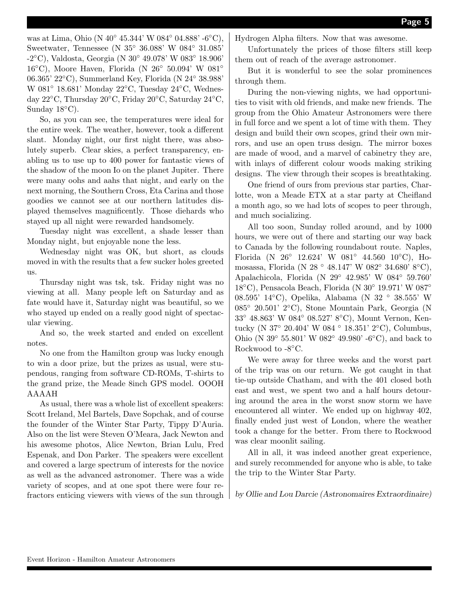was at Lima, Ohio (N 40◦ 45.344' W 084◦ 04.888' -6◦C), Sweetwater, Tennessee (N 35◦ 36.088' W 084◦ 31.085' -2◦C), Valdosta, Georgia (N 30◦ 49.078' W 083◦ 18.906' 16◦C), Moore Haven, Florida (N 26◦ 50.094' W 081◦ 06.365' 22◦C), Summerland Key, Florida (N 24◦ 38.988' W 081◦ 18.681' Monday 22◦C, Tuesday 24◦C, Wednesday 22◦C, Thursday 20◦C, Friday 20◦C, Saturday 24◦C, Sunday  $18^{\circ}$ C).

So, as you can see, the temperatures were ideal for the entire week. The weather, however, took a different slant. Monday night, our first night there, was absolutely superb. Clear skies, a perfect transparency, enabling us to use up to 400 power for fantastic views of the shadow of the moon Io on the planet Jupiter. There were many oohs and aahs that night, and early on the next morning, the Southern Cross, Eta Carina and those goodies we cannot see at our northern latitudes displayed themselves magnificently. Those diehards who stayed up all night were rewarded handsomely.

Tuesday night was excellent, a shade lesser than Monday night, but enjoyable none the less.

Wednesday night was OK, but short, as clouds moved in with the results that a few sucker holes greeted us.

Thursday night was tsk, tsk. Friday night was no viewing at all. Many people left on Saturday and as fate would have it, Saturday night was beautiful, so we who stayed up ended on a really good night of spectacular viewing.

And so, the week started and ended on excellent notes.

No one from the Hamilton group was lucky enough to win a door prize, but the prizes as usual, were stupendous, ranging from software CD-ROMs, T-shirts to the grand prize, the Meade 8inch GPS model. OOOH AAAAH

As usual, there was a whole list of excellent speakers: Scott Ireland, Mel Bartels, Dave Sopchak, and of course the founder of the Winter Star Party, Tippy D'Auria. Also on the list were Steven O'Meara, Jack Newton and his awesome photos, Alice Newton, Brian Lulu, Fred Espenak, and Don Parker. The speakers were excellent and covered a large spectrum of interests for the novice as well as the advanced astronomer. There was a wide variety of scopes, and at one spot there were four refractors enticing viewers with views of the sun through Hydrogen Alpha filters. Now that was awesome.

Unfortunately the prices of those filters still keep them out of reach of the average astronomer.

But it is wonderful to see the solar prominences through them.

During the non-viewing nights, we had opportunities to visit with old friends, and make new friends. The group from the Ohio Amateur Astronomers were there in full force and we spent a lot of time with them. They design and build their own scopes, grind their own mirrors, and use an open truss design. The mirror boxes are made of wood, and a marvel of cabinetry they are, with inlays of different colour woods making striking designs. The view through their scopes is breathtaking.

One friend of ours from previous star parties, Charlotte, won a Meade ETX at a star party at Cheifland a month ago, so we had lots of scopes to peer through, and much socializing.

All too soon, Sunday rolled around, and by 1000 hours, we were out of there and starting our way back to Canada by the following roundabout route. Naples, Florida (N 26◦ 12.624' W 081◦ 44.560 10◦C), Homosassa, Florida (N 28 ◦ 48.147' W 082◦ 34.680' 8◦C), Apalachicola, Florida (N 29◦ 42.985' W 084◦ 59.760' 18◦C), Pensacola Beach, Florida (N 30◦ 19.971' W 087◦ 08.595' 14◦C), Opelika, Alabama (N 32 ◦ 38.555' W 085◦ 20.501' 2◦C), Stone Mountain Park, Georgia (N 33◦ 48.863' W 084◦ 08.527' 8◦C), Mount Vernon, Kentucky (N 37◦ 20.404' W 084 ◦ 18.351' 2◦C), Columbus, Ohio (N 39◦ 55.801' W 082◦ 49.980' -6◦C), and back to Rockwood to -8◦C.

We were away for three weeks and the worst part of the trip was on our return. We got caught in that tie-up outside Chatham, and with the 401 closed both east and west, we spent two and a half hours detouring around the area in the worst snow storm we have encountered all winter. We ended up on highway 402, finally ended just west of London, where the weather took a change for the better. From there to Rockwood was clear moonlit sailing.

All in all, it was indeed another great experience, and surely recommended for anyone who is able, to take the trip to the Winter Star Party.

by Ollie and Lou Darcie (Astronomaires Extraordinaire)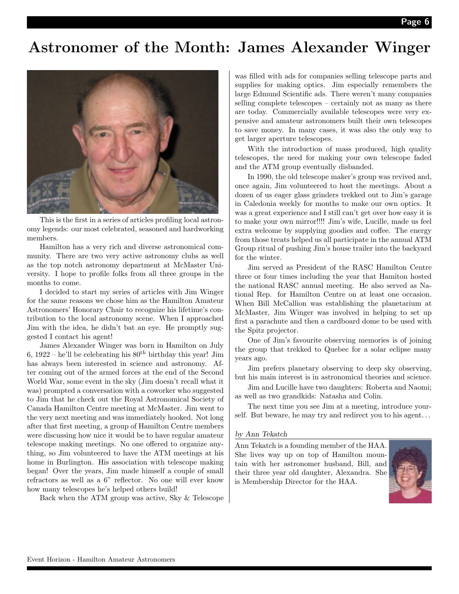## Astronomer of the Month: James Alexander Winger



This is the first in a series of articles profiling local astronomy legends: our most celebrated, seasoned and hardworking members.

Hamilton has a very rich and diverse astronomical community. There are two very active astronomy clubs as well as the top notch astronomy department at McMaster University. I hope to profile folks from all three groups in the months to come.

I decided to start my series of articles with Jim Winger for the same reasons we chose him as the Hamilton Amateur Astronomers' Honorary Chair to recognize his lifetime's contribution to the local astronomy scene. When I approached Jim with the idea, he didn't bat an eye. He promptly suggested I contact his agent!

James Alexander Winger was born in Hamilton on July 6,  $1922 - he'll$  be celebrating his  $80<sup>th</sup>$  birthday this year! Jim has always been interested in science and astronomy. After coming out of the armed forces at the end of the Second World War, some event in the sky (Jim doesn't recall what it was) prompted a conversation with a coworker who suggested to Jim that he check out the Royal Astronomical Society of Canada Hamilton Centre meeting at McMaster. Jim went to the very next meeting and was immediately hooked. Not long after that first meeting, a group of Hamilton Centre members were discussing how nice it would be to have regular amateur telescope making meetings. No one offered to organize anything, so Jim volunteered to have the ATM meetings at his home in Burlington. His association with telescope making began! Over the years, Jim made himself a couple of small refractors as well as a 6" reflector. No one will ever know how many telescopes he's helped others build!

Back when the ATM group was active, Sky & Telescope

was filled with ads for companies selling telescope parts and supplies for making optics. Jim especially remembers the large Edmund Scientific ads. There weren't many companies selling complete telescopes – certainly not as many as there are today. Commercially available telescopes were very expensive and amateur astronomers built their own telescopes to save money. In many cases, it was also the only way to get larger aperture telescopes.

With the introduction of mass produced, high quality telescopes, the need for making your own telescope faded and the ATM group eventually disbanded.

In 1990, the old telescope maker's group was revived and, once again, Jim volunteered to host the meetings. About a dozen of us eager glass grinders trekked out to Jim's garage in Caledonia weekly for months to make our own optics. It was a great experience and I still can't get over how easy it is to make your own mirror!!!! Jim's wife, Lucille, made us feel extra welcome by supplying goodies and coffee. The energy from those treats helped us all participate in the annual ATM Group ritual of pushing Jim's house trailer into the backyard for the winter.

Jim served as President of the RASC Hamilton Centre three or four times including the year that Hamiton hosted the national RASC annual meeting. He also served as National Rep. for Hamilton Centre on at least one occasion. When Bill McCallion was establishing the planetarium at McMaster, Jim Winger was involved in helping to set up first a parachute and then a cardboard dome to be used with the Spitz projector.

One of Jim's favourite observing memories is of joining the group that trekked to Quebec for a solar eclipse many years ago.

Jim prefers planetary observing to deep sky observing, but his main interest is in astronomical theories and science.

Jim and Lucille have two daughters: Roberta and Naomi; as well as two grandkids: Natasha and Colin.

The next time you see Jim at a meeting, introduce yourself. But beware, he may try and redirect you to his agent. . .

#### by Ann Tekatch

Ann Tekatch is a founding member of the HAA. She lives way up on top of Hamilton mountain with her astronomer husband, Bill, and their three year old daughter, Alexandra. She is Membership Director for the HAA.

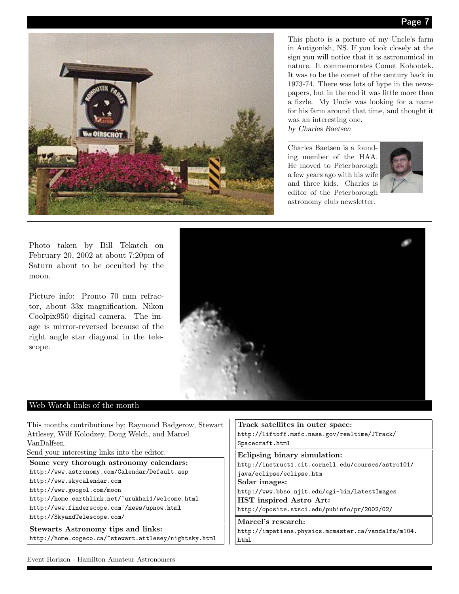

This photo is a picture of my Uncle's farm in Antigonish, NS. If you look closely at the sign you will notice that it is astronomical in nature. It commemorates Comet Kohoutek. It was to be the comet of the century back in 1973-74. There was lots of hype in the newspapers, but in the end it was little more than a fizzle. My Uncle was looking for a name for his farm around that time, and thought it was an interesting one. by Charles Baetsen

Charles Baetsen is a founding member of the HAA. He moved to Peterborough a few years ago with his wife and three kids. Charles is editor of the Peterborough astronomy club newsletter.



Photo taken by Bill Tekatch on February 20, 2002 at about 7:20pm of Saturn about to be occulted by the moon.

Picture info: Pronto 70 mm refractor, about 33x magnification, Nikon Coolpix950 digital camera. The image is mirror-reversed because of the right angle star diagonal in the telescope.

### Web Watch links of the month

This months contributions by; Raymond Badgerow, Stewart Attlesey, Wilf Kolodzey, Doug Welch, and Marcel VanDalfsen.

Send your interesting links into the editor.

Some very thorough astronomy calendars: http://www.astronomy.com/Calendar/Default.asp http://www.skycalendar.com http://www.googol.com/moon http://home.earthlink.net/~urukhai1/welcome.html http://www.finderscope.com´/news/upnow.html

http://SkyandTelescope.com/

Stewarts Astronomy tips and links: http://home.cogeco.ca/~stewart.attlesey/nightsky.html

Track satellites in outer space: http://liftoff.msfc.nasa.gov/realtime/JTrack/ Spacecraft.html

Eclipsing binary simulation: http://instruct1.cit.cornell.edu/courses/astro101/ java/eclipse/eclipse.htm Solar images: http://www.bbso.njit.edu/cgi-bin/LatestImages

HST inspired Astro Art: http://oposite.stsci.edu/pubinfo/pr/2002/02/

Marcel's research: http://impatiens.physics.mcmaster.ca/vandalfs/m104. html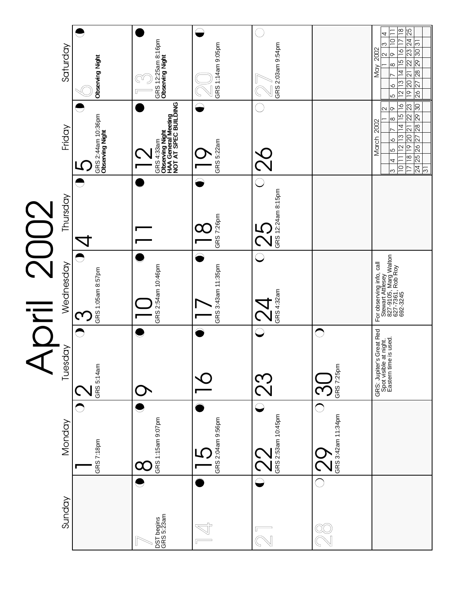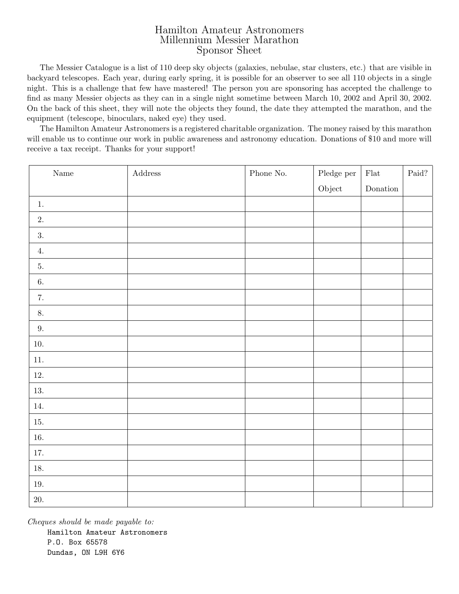## Hamilton Amateur Astronomers Millennium Messier Marathon Sponsor Sheet

The Messier Catalogue is a list of 110 deep sky objects (galaxies, nebulae, star clusters, etc.) that are visible in backyard telescopes. Each year, during early spring, it is possible for an observer to see all 110 objects in a single night. This is a challenge that few have mastered! The person you are sponsoring has accepted the challenge to find as many Messier objects as they can in a single night sometime between March 10, 2002 and April 30, 2002. On the back of this sheet, they will note the objects they found, the date they attempted the marathon, and the equipment (telescope, binoculars, naked eye) they used.

The Hamilton Amateur Astronomers is a registered charitable organization. The money raised by this marathon will enable us to continue our work in public awareness and astronomy education. Donations of \$10 and more will receive a tax receipt. Thanks for your support!

| $\rm Name$       | $\operatorname{\bf Address}$ | ${\bf Phone}$ No. | $\operatorname{Pledge}$ per | ${\it Flat}$      | Paid? $\;$ |
|------------------|------------------------------|-------------------|-----------------------------|-------------------|------------|
|                  |                              |                   | Object                      | $\mbox{Donation}$ |            |
| $1.$             |                              |                   |                             |                   |            |
| $\overline{2}$ . |                              |                   |                             |                   |            |
| 3.               |                              |                   |                             |                   |            |
| 4.               |                              |                   |                             |                   |            |
| 5.               |                              |                   |                             |                   |            |
| $6. \,$          |                              |                   |                             |                   |            |
| 7.               |                              |                   |                             |                   |            |
| 8.               |                              |                   |                             |                   |            |
| $9. \,$          |                              |                   |                             |                   |            |
| $10. \,$         |                              |                   |                             |                   |            |
| $11. \,$         |                              |                   |                             |                   |            |
| $12. \,$         |                              |                   |                             |                   |            |
| $13. \,$         |                              |                   |                             |                   |            |
| $14.$            |                              |                   |                             |                   |            |
| 15.              |                              |                   |                             |                   |            |
| $16. \,$         |                              |                   |                             |                   |            |
| $17. \,$         |                              |                   |                             |                   |            |
| $18. \,$         |                              |                   |                             |                   |            |
| $19. \,$         |                              |                   |                             |                   |            |
| $20. \,$         |                              |                   |                             |                   |            |

Cheques should be made payable to: Hamilton Amateur Astronomers P.O. Box 65578 Dundas, ON L9H 6Y6